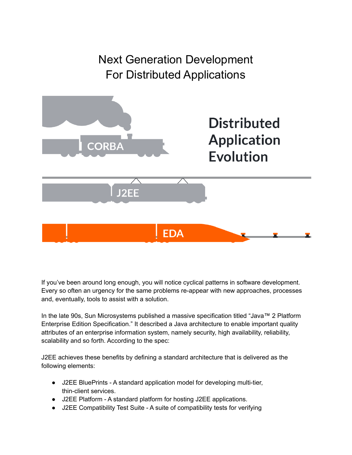

If you've been around long enough, you will notice cyclical patterns in software development. Every so often an urgency for the same problems re-appear with new approaches, processes and, eventually, tools to assist with a solution.

In the late 90s, Sun Microsystems published a massive specification titled "Java™ 2 Platform Enterprise Edition Specification." It described a Java architecture to enable important quality attributes of an enterprise information system, namely security, high availability, reliability, scalability and so forth. According to the spec:

J2EE achieves these benefits by defining a standard architecture that is delivered as the following elements:

- J2EE BluePrints A standard application model for developing multi-tier, thin-client services.
- J2EE Platform A standard platform for hosting J2EE applications.
- J2EE Compatibility Test Suite A suite of compatibility tests for verifying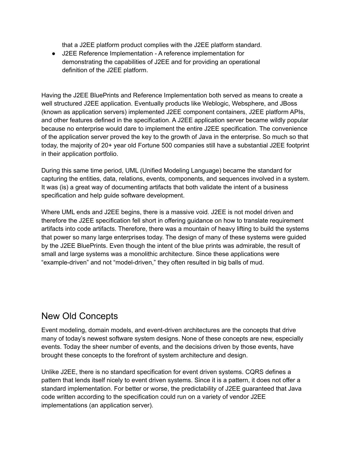that a J2EE platform product complies with the J2EE platform standard.

● J2EE Reference Implementation - A reference implementation for demonstrating the capabilities of J2EE and for providing an operational definition of the J2EE platform.

Having the J2EE BluePrints and Reference Implementation both served as means to create a well structured J2EE application. Eventually products like Weblogic, Websphere, and JBoss (known as application servers) implemented J2EE component containers, J2EE platform APIs, and other features defined in the specification. A J2EE application server became wildly popular because no enterprise would dare to implement the entire J2EE specification. The convenience of the application server proved the key to the growth of Java in the enterprise. So much so that today, the majority of 20+ year old Fortune 500 companies still have a substantial J2EE footprint in their application portfolio.

During this same time period, UML (Unified Modeling Language) became the standard for capturing the entities, data, relations, events, components, and sequences involved in a system. It was (is) a great way of documenting artifacts that both validate the intent of a business specification and help guide software development.

Where UML ends and J2EE begins, there is a massive void. J2EE is not model driven and therefore the J2EE specification fell short in offering guidance on how to translate requirement artifacts into code artifacts. Therefore, there was a mountain of heavy lifting to build the systems that power so many large enterprises today. The design of many of these systems were guided by the J2EE BluePrints. Even though the intent of the blue prints was admirable, the result of small and large systems was a monolithic architecture. Since these applications were "example-driven" and not "model-driven," they often resulted in big balls of mud.

### New Old Concepts

Event modeling, domain models, and event-driven architectures are the concepts that drive many of today's newest software system designs. None of these concepts are new, especially events. Today the sheer number of events, and the decisions driven by those events, have brought these concepts to the forefront of system architecture and design.

Unlike J2EE, there is no standard specification for event driven systems. CQRS defines a pattern that lends itself nicely to event driven systems. Since it is a pattern, it does not offer a standard implementation. For better or worse, the predictability of J2EE guaranteed that Java code written according to the specification could run on a variety of vendor J2EE implementations (an application server).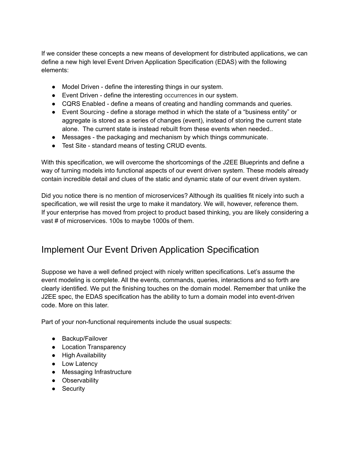If we consider these concepts a new means of development for distributed applications, we can define a new high level Event Driven Application Specification (EDAS) with the following elements:

- Model Driven define the interesting things in our system.
- Event Driven define the interesting occurrences in our system.
- CQRS Enabled define a means of creating and handling commands and queries.
- Event Sourcing define a storage method in which the state of a "business entity" or aggregate is stored as a series of changes (event), instead of storing the current state alone. The current state is instead rebuilt from these events when needed..
- Messages the packaging and mechanism by which things communicate.
- Test Site standard means of testing CRUD events.

With this specification, we will overcome the shortcomings of the J2EE Blueprints and define a way of turning models into functional aspects of our event driven system. These models already contain incredible detail and clues of the static and dynamic state of our event driven system.

Did you notice there is no mention of microservices? Although its qualities fit nicely into such a specification, we will resist the urge to make it mandatory. We will, however, reference them. If your enterprise has moved from project to product based thinking, you are likely considering a vast # of microservices. 100s to maybe 1000s of them.

## Implement Our Event Driven Application Specification

Suppose we have a well defined project with nicely written specifications. Let's assume the event modeling is complete. All the events, commands, queries, interactions and so forth are clearly identified. We put the finishing touches on the domain model. Remember that unlike the J2EE spec, the EDAS specification has the ability to turn a domain model into event-driven code. More on this later.

Part of your non-functional requirements include the usual suspects:

- Backup/Failover
- Location Transparency
- High Availability
- Low Latency
- Messaging Infrastructure
- Observability
- Security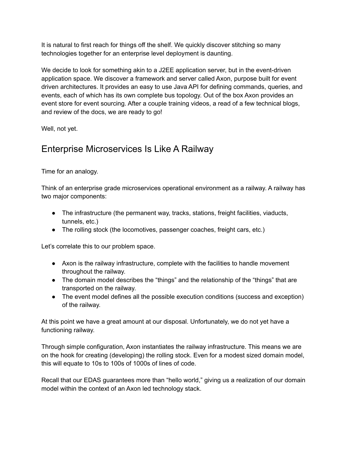It is natural to first reach for things off the shelf. We quickly discover stitching so many technologies together for an enterprise level deployment is daunting.

We decide to look for something akin to a J2EE application server, but in the event-driven application space. We discover a framework and server called Axon, purpose built for event driven architectures. It provides an easy to use Java API for defining commands, queries, and events, each of which has its own complete bus topology. Out of the box Axon provides an event store for event sourcing. After a couple training videos, a read of a few technical blogs, and review of the docs, we are ready to go!

Well, not yet.

## Enterprise Microservices Is Like A Railway

Time for an analogy.

Think of an enterprise grade microservices operational environment as a railway. A railway has two major components:

- The infrastructure (the permanent way, tracks, stations, freight facilities, viaducts, tunnels, etc.)
- The rolling stock (the locomotives, passenger coaches, freight cars, etc.)

Let's correlate this to our problem space.

- Axon is the railway infrastructure, complete with the facilities to handle movement throughout the railway.
- The domain model describes the "things" and the relationship of the "things" that are transported on the railway.
- The event model defines all the possible execution conditions (success and exception) of the railway.

At this point we have a great amount at our disposal. Unfortunately, we do not yet have a functioning railway.

Through simple configuration, Axon instantiates the railway infrastructure. This means we are on the hook for creating (developing) the rolling stock. Even for a modest sized domain model, this will equate to 10s to 100s of 1000s of lines of code.

Recall that our EDAS guarantees more than "hello world," giving us a realization of our domain model within the context of an Axon led technology stack.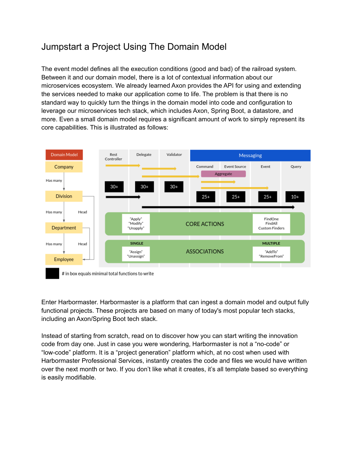# Jumpstart a Project Using The Domain Model

The event model defines all the execution conditions (good and bad) of the railroad system. Between it and our domain model, there is a lot of contextual information about our microservices ecosystem. We already learned Axon provides the API for using and extending the services needed to make our application come to life. The problem is that there is no standard way to quickly turn the things in the domain model into code and configuration to leverage our microservices tech stack, which includes Axon, Spring Boot, a datastore, and more. Even a small domain model requires a significant amount of work to simply represent its core capabilities. This is illustrated as follows:



Enter Harbormaster. Harbormaster is a platform that can ingest a domain model and output fully functional projects. These projects are based on many of today's most popular tech stacks, including an Axon/Spring Boot tech stack.

Instead of starting from scratch, read on to discover how you can start writing the innovation code from day one. Just in case you were wondering, Harbormaster is not a "no-code" or "low-code" platform. It is a "project generation" platform which, at no cost when used with Harbormaster Professional Services, instantly creates the code and files we would have written over the next month or two. If you don't like what it creates, it's all template based so everything is easily modifiable.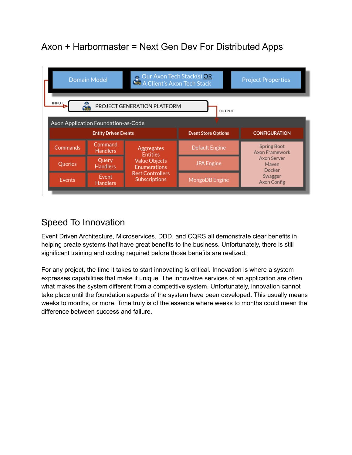# Axon + Harbormaster = Next Gen Dev For Distributed Apps



## Speed To Innovation

Event Driven Architecture, Microservices, DDD, and CQRS all demonstrate clear benefits in helping create systems that have great benefits to the business. Unfortunately, there is still significant training and coding required before those benefits are realized.

For any project, the time it takes to start innovating is critical. Innovation is where a system expresses capabilities that make it unique. The innovative services of an application are often what makes the system different from a competitive system. Unfortunately, innovation cannot take place until the foundation aspects of the system have been developed. This usually means weeks to months, or more. Time truly is of the essence where weeks to months could mean the difference between success and failure.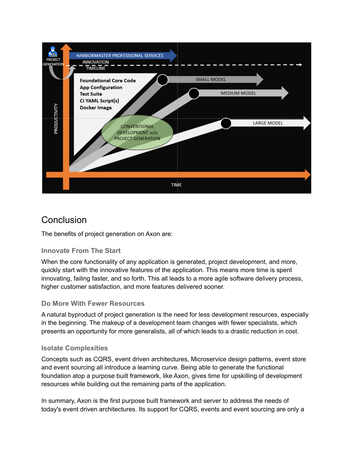

### **Conclusion**

The benefits of project generation on Axon are:

#### **Innovate From The Start**

When the core functionality of any application is generated, project development, and more, quickly start with the innovative features of the application. This means more time is spent innovating, failing faster, and so forth. This all leads to a more agile software delivery process, higher customer satisfaction, and more features delivered sooner.

#### **Do More With Fewer Resources**

A natural byproduct of project generation is the need for less development resources, especially in the beginning. The makeup of a development team changes with fewer specialists, which presents an opportunity for more generalists, all of which leads to a drastic reduction in cost.

#### **Isolate Complexities**

Concepts such as CQRS, event driven architectures, Microservice design patterns, event store and event sourcing all introduce a learning curve. Being able to generate the functional foundation atop a purpose built framework, like Axon, gives time for upskilling of development resources while building out the remaining parts of the application.

In summary, Axon is the first purpose built framework and server to address the needs of today's event driven architectures. Its support for CQRS, events and event sourcing are only a